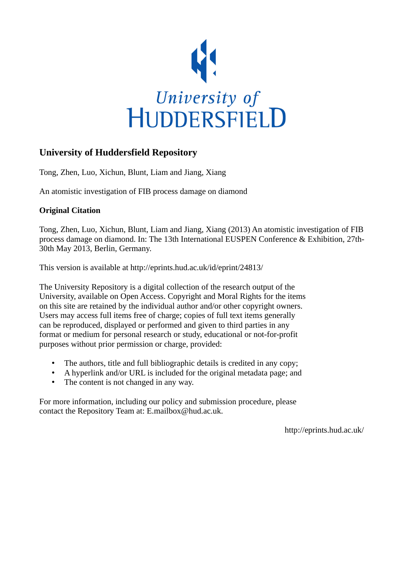

# **University of Huddersfield Repository**

Tong, Zhen, Luo, Xichun, Blunt, Liam and Jiang, Xiang

An atomistic investigation of FIB process damage on diamond

## **Original Citation**

Tong, Zhen, Luo, Xichun, Blunt, Liam and Jiang, Xiang (2013) An atomistic investigation of FIB process damage on diamond. In: The 13th International EUSPEN Conference & Exhibition, 27th-30th May 2013, Berlin, Germany.

This version is available at http://eprints.hud.ac.uk/id/eprint/24813/

The University Repository is a digital collection of the research output of the University, available on Open Access. Copyright and Moral Rights for the items on this site are retained by the individual author and/or other copyright owners. Users may access full items free of charge; copies of full text items generally can be reproduced, displayed or performed and given to third parties in any format or medium for personal research or study, educational or not-for-profit purposes without prior permission or charge, provided:

- The authors, title and full bibliographic details is credited in any copy;
- A hyperlink and/or URL is included for the original metadata page; and
- The content is not changed in any way.

For more information, including our policy and submission procedure, please contact the Repository Team at: E.mailbox@hud.ac.uk.

http://eprints.hud.ac.uk/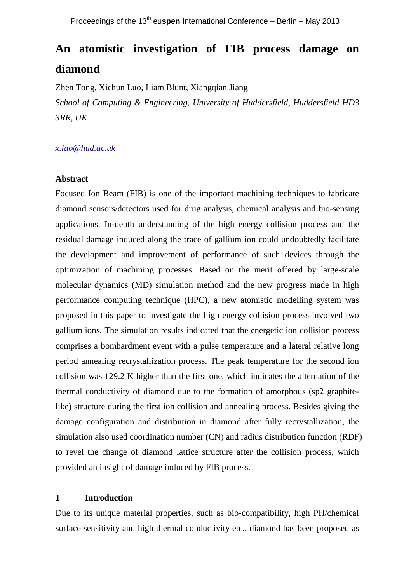## **An atomistic investigation of FIB process damage on diamond**

Zhen Tong, Xichun Luo, Liam Blunt, Xiangqian Jiang

*School of Computing & Engineering, University of Huddersfield, Huddersfield HD3 3RR, UK*

## *[x.luo@hud.ac.uk](mailto:Corresponding.author@email.com)*

#### **Abstract**

Focused Ion Beam (FIB) is one of the important machining techniques to fabricate diamond sensors/detectors used for drug analysis, chemical analysis and bio-sensing applications. In-depth understanding of the high energy collision process and the residual damage induced along the trace of gallium ion could undoubtedly facilitate the development and improvement of performance of such devices through the optimization of machining processes. Based on the merit offered by large-scale molecular dynamics (MD) simulation method and the new progress made in high performance computing technique (HPC), a new atomistic modelling system was proposed in this paper to investigate the high energy collision process involved two gallium ions. The simulation results indicated that the energetic ion collision process comprises a bombardment event with a pulse temperature and a lateral relative long period annealing recrystallization process. The peak temperature for the second ion collision was 129.2 K higher than the first one, which indicates the alternation of the thermal conductivity of diamond due to the formation of amorphous (sp2 graphitelike) structure during the first ion collision and annealing process. Besides giving the damage configuration and distribution in diamond after fully recrystallization, the simulation also used coordination number (CN) and radius distribution function (RDF) to revel the change of diamond lattice structure after the collision process, which provided an insight of damage induced by FIB process.

## **1 Introduction**

Due to its unique material properties, such as bio-compatibility, high PH/chemical surface sensitivity and high thermal conductivity etc., diamond has been proposed as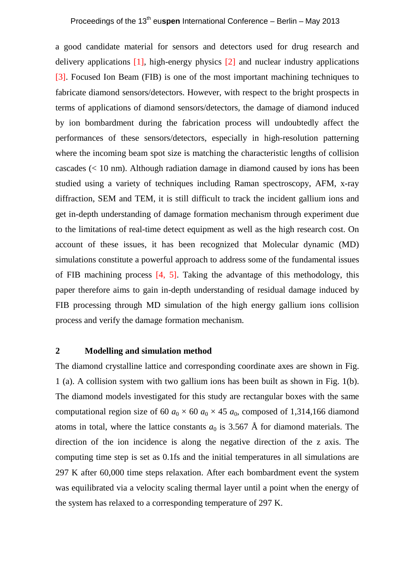a good candidate material for sensors and detectors used for drug research and delivery applications [1], high-energy physics [2] and nuclear industry applications [3]. Focused Ion Beam (FIB) is one of the most important machining techniques to fabricate diamond sensors/detectors. However, with respect to the bright prospects in terms of applications of diamond sensors/detectors, the damage of diamond induced by ion bombardment during the fabrication process will undoubtedly affect the performances of these sensors/detectors, especially in high-resolution patterning where the incoming beam spot size is matching the characteristic lengths of collision cascades  $(< 10 \text{ nm}$ ). Although radiation damage in diamond caused by ions has been studied using a variety of techniques including Raman spectroscopy, AFM, x-ray diffraction, SEM and TEM, it is still difficult to track the incident gallium ions and get in-depth understanding of damage formation mechanism through experiment due to the limitations of real-time detect equipment as well as the high research cost. On account of these issues, it has been recognized that Molecular dynamic (MD) simulations constitute a powerful approach to address some of the fundamental issues of FIB machining process [4, 5]. Taking the advantage of this methodology, this paper therefore aims to gain in-depth understanding of residual damage induced by FIB processing through MD simulation of the high energy gallium ions collision process and verify the damage formation mechanism.

#### **2 Modelling and simulation method**

The diamond crystalline lattice and corresponding coordinate axes are shown in Fig. 1 (a). A collision system with two gallium ions has been built as shown in Fig. 1(b). The diamond models investigated for this study are rectangular boxes with the same computational region size of 60  $a_0 \times 60$   $a_0 \times 45$   $a_0$ , composed of 1,314,166 diamond atoms in total, where the lattice constants  $a_0$  is 3.567 Å for diamond materials. The direction of the ion incidence is along the negative direction of the z axis. The computing time step is set as 0.1fs and the initial temperatures in all simulations are 297 K after 60,000 time steps relaxation. After each bombardment event the system was equilibrated via a velocity scaling thermal layer until a point when the energy of the system has relaxed to a corresponding temperature of 297 K.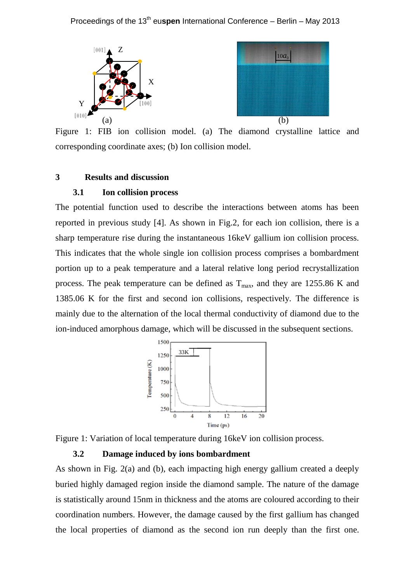### Proceedings of the 13<sup>th</sup> euspen International Conference – Berlin – May 2013





Figure 1: FIB ion collision model. (a) The diamond crystalline lattice and corresponding coordinate axes; (b) Ion collision model.

## **3 Results and discussion**

#### **3.1 Ion collision process**

The potential function used to describe the interactions between atoms has been reported in previous study [4]. As shown in Fig.2, for each ion collision, there is a sharp temperature rise during the instantaneous 16keV gallium ion collision process. This indicates that the whole single ion collision process comprises a bombardment portion up to a peak temperature and a lateral relative long period recrystallization process. The peak temperature can be defined as  $T_{\text{max}}$ , and they are 1255.86 K and 1385.06 K for the first and second ion collisions, respectively. The difference is mainly due to the alternation of the local thermal conductivity of diamond due to the ion-induced amorphous damage, which will be discussed in the subsequent sections.



Figure 1: Variation of local temperature during 16keV ion collision process.

#### **3.2 Damage induced by ions bombardment**

As shown in Fig. 2(a) and (b), each impacting high energy gallium created a deeply buried highly damaged region inside the diamond sample. The nature of the damage is statistically around 15nm in thickness and the atoms are coloured according to their coordination numbers. However, the damage caused by the first gallium has changed the local properties of diamond as the second ion run deeply than the first one.